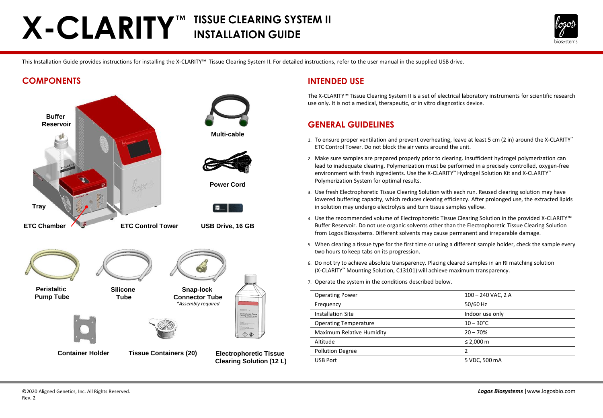# **X-CLARITY™ TISSUE CLEARING SYSTEM II INSTALLATION GUIDE**



This Installation Guide provides instructions for installing the X-CLARITY™ Tissue Clearing System II. For detailed instructions, refer to the user manual in the supplied USB drive.

### **COMPONENTS**



### **INTENDED USE**

The X-CLARITY™ Tissue Clearing System II is a set of electrical laboratory instruments for scientific research use only. It is not a medical, therapeutic, or in vitro diagnostics device.

## **GENERAL GUIDELINES**

- 1. To ensure proper ventilation and prevent overheating, leave at least 5 cm (2 in) around the X-CLARITY™ ETC Control Tower. Do not block the air vents around the unit.
- 2. Make sure samples are prepared properly prior to clearing. Insufficient hydrogel polymerization can lead to inadequate clearing. Polymerization must be performed in a precisely controlled, oxygen-free environment with fresh ingredients. Use the X-CLARITY™ Hydrogel Solution Kit and X-CLARITY™ Polymerization System for optimal results.
- 3. Use fresh Electrophoretic Tissue Clearing Solution with each run. Reused clearing solution may have lowered buffering capacity, which reduces clearing efficiency. After prolonged use, the extracted lipids in solution may undergo electrolysis and turn tissue samples yellow.
- 4. Use the recommended volume of Electrophoretic Tissue Clearing Solution in the provided X-CLARITY™ Buffer Reservoir. Do not use organic solvents other than the Electrophoretic Tissue Clearing Solution from Logos Biosystems. Different solvents may cause permanent and irreparable damage.
- 5. When clearing a tissue type for the first time or using a different sample holder, check the sample every two hours to keep tabs on its progression.
- 6. Do not try to achieve absolute transparency. Placing cleared samples in an RI matching solution (X-CLARITY™ Mounting Solution, C13101) will achieve maximum transparency.
- 7. Operate the system in the conditions described below.

| <b>Operating Power</b>       | $100 - 240$ VAC, 2 A |
|------------------------------|----------------------|
| Frequency                    | 50/60 Hz             |
| <b>Installation Site</b>     | Indoor use only      |
| <b>Operating Temperature</b> | $10 - 30^{\circ}$ C  |
| Maximum Relative Humidity    | $20 - 70%$           |
| Altitude                     | ≤ 2,000 m            |
| <b>Pollution Degree</b>      | 2                    |
| <b>USB Port</b>              | 5 VDC, 500 mA        |